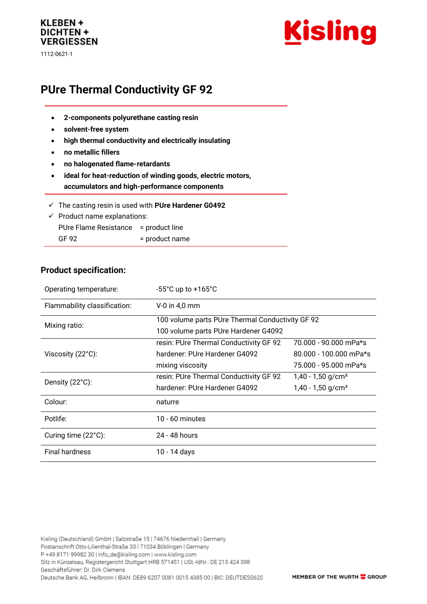# KLEBEN + **DICHTEN + VERGIESSEN**

1112-0621-1



# **PUre Thermal Conductivity GF 92**

- **2-components polyurethane casting resin**
- **solvent-free system**
- **high thermal conductivity and electrically insulating**
- **no metallic fillers**
- **no halogenated flame-retardants**
- **ideal for heat-reduction of winding goods, electric motors, accumulators and high-performance components**
- ✓ The casting resin is used with **PUre Hardener G0492**
- $\checkmark$  Product name explanations:
- PUre Flame Resistance = product line GF 92 = product name

### **Product specification:**

| Operating temperature:       | $-55^{\circ}$ C up to $+165^{\circ}$ C           |                                 |
|------------------------------|--------------------------------------------------|---------------------------------|
| Flammability classification: | $V-0$ in 4,0 mm                                  |                                 |
| Mixing ratio:                | 100 volume parts PUre Thermal Conductivity GF 92 |                                 |
|                              | 100 volume parts PUre Hardener G4092             |                                 |
| Viscosity (22°C):            | resin: PUre Thermal Conductivity GF 92           | 70.000 - 90.000 mPa*s           |
|                              | hardener: PUre Hardener G4092                    | $80.000 - 100.000$ mPa*s        |
|                              | mixing viscosity                                 | 75.000 - 95.000 mPa*s           |
| Density (22°C):              | resin: PUre Thermal Conductivity GF 92           | $1,40 - 1,50$ g/cm <sup>3</sup> |
|                              | hardener: PUre Hardener G4092                    | $1,40 - 1,50$ g/cm <sup>3</sup> |
| Colour:                      | naturre                                          |                                 |
| Potlife:                     | 10 - 60 minutes                                  |                                 |
| Curing time (22°C):          | 24 - 48 hours                                    |                                 |
| <b>Final hardness</b>        | 10 - 14 days                                     |                                 |

Kisling (Deutschland) GmbH | Salzstraße 15 | 74676 Niedernhall | Germany Postanschrift Otto-Lilienthal-Straße 33 | 71034 Böblingen | Germany P +49 8171 99982 30 | info\_de@kisling.com | www.kisling.com Sitz in Künzelsau, Registergericht Stuttgart HRB 571451 | USt.-IdNr.: DE 213 424 398 Geschäftsführer: Dr. Dirk Clemens Deutsche Bank AG, Heilbronn | IBAN: DE89 6207 0081 0015 4385 00 | BIC: DEUTDESS620